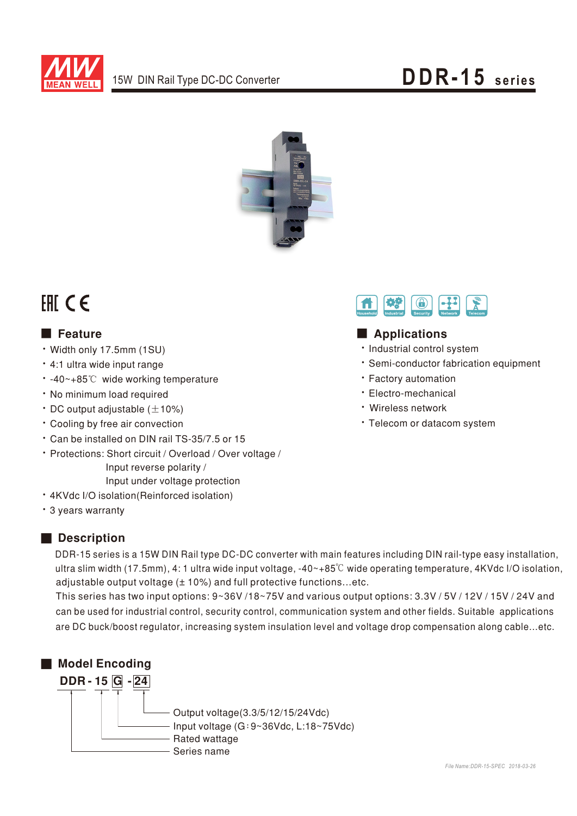



# FAI CE

### **E** Feature

- · Width only 17.5mm (1SU)
- · 4:1 ultra wide input range
- -40~+85℃ wide working temperature
- · No minimum load required
- $\cdot$  DC output adjustable ( $\pm$ 10%)
- \* Cooling by free air convection
- \* Can be installed on DIN rail TS-35/7.5 or 15
- · Protections: Short circuit / Overload / Over voltage / Input reverse polarity / Input under voltage protection
- · 4KVdc I/O isolation(Reinforced isolation)
- \* 3 years warranty

### Description

DDR-15 series is a 15W DIN Rail type DC-DC converter with main features including DIN rail-type easy installation, ultra slim width (17.5mm), 4: 1 ultra wide input voltage,  $-40-+85^{\circ}$  wide operating temperature, 4KVdc I/O isolation, adjustable output voltage (± 10%) and full protective functions...etc.

This series has two input options: 9~36V /18~75V and various output options: 3.3V / 5V / 12V / 15V / 24V and can be used for industrial control, security control, communication system and other fields. Suitable applications are DC buck/boost regulator, increasing system insulation level and voltage drop compensation along cable...etc.





### Applications

- · Industrial control system
- · Semi-conductor fabrication equipment
- · Factory automation
- · Electro-mechanical
- · Wireless network
- · Telecom or datacom system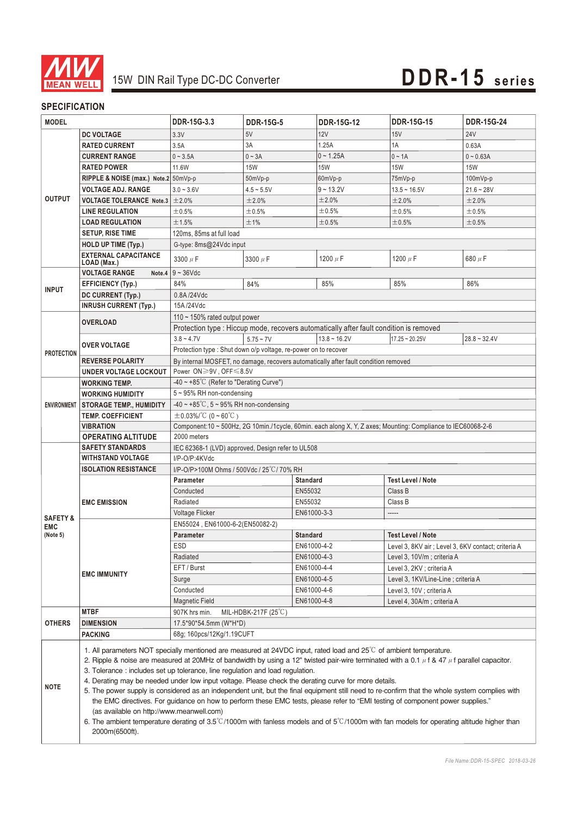

#### **SPECIFICATION**

| <b>MODEL</b>        |                                                                                                                                                                                                                                                                                      | DDR-15G-3.3                                                                                                                                                                 | <b>DDR-15G-5</b> | <b>DDR-15G-12</b> | <b>DDR-15G-15</b>                                   | <b>DDR-15G-24</b> |  |  |
|---------------------|--------------------------------------------------------------------------------------------------------------------------------------------------------------------------------------------------------------------------------------------------------------------------------------|-----------------------------------------------------------------------------------------------------------------------------------------------------------------------------|------------------|-------------------|-----------------------------------------------------|-------------------|--|--|
|                     | <b>DC VOLTAGE</b>                                                                                                                                                                                                                                                                    | 3.3V                                                                                                                                                                        | 5V               | 12V               | 15V                                                 | <b>24V</b>        |  |  |
|                     | <b>RATED CURRENT</b>                                                                                                                                                                                                                                                                 | 3.5A                                                                                                                                                                        | 3A               | 1.25A             | 1A                                                  | 0.63A             |  |  |
|                     | <b>CURRENT RANGE</b>                                                                                                                                                                                                                                                                 | $0 - 3.5A$                                                                                                                                                                  | $0 - 3A$         | $0 - 1.25A$       | $0 - 1A$                                            | $0 - 0.63A$       |  |  |
|                     | <b>RATED POWER</b>                                                                                                                                                                                                                                                                   | 11.6W                                                                                                                                                                       | <b>15W</b>       | <b>15W</b>        | <b>15W</b>                                          | <b>15W</b>        |  |  |
|                     | RIPPLE & NOISE (max.) Note.2 50mVp-p                                                                                                                                                                                                                                                 |                                                                                                                                                                             | 50mVp-p          | 60mVp-p           | 75mVp-p                                             | 100mVp-p          |  |  |
|                     | <b>VOLTAGE ADJ. RANGE</b>                                                                                                                                                                                                                                                            | $3.0 - 3.6V$                                                                                                                                                                | $4.5 - 5.5V$     | $9 - 13.2V$       | $13.5 - 16.5V$                                      | $21.6 - 28V$      |  |  |
| <b>OUTPUT</b>       | <b>VOLTAGE TOLERANCE Note.3</b>                                                                                                                                                                                                                                                      | $\pm 2.0\%$                                                                                                                                                                 | ±2.0%            | ±2.0%             | ±2.0%                                               | ±2.0%             |  |  |
|                     | <b>LINE REGULATION</b>                                                                                                                                                                                                                                                               | ±0.5%                                                                                                                                                                       | ±0.5%            | ±0.5%             | ±0.5%                                               | ±0.5%             |  |  |
|                     | <b>LOAD REGULATION</b>                                                                                                                                                                                                                                                               | ±1.5%                                                                                                                                                                       | ±1%              | ±0.5%             | ±0.5%                                               | ±0.5%             |  |  |
|                     | <b>SETUP, RISE TIME</b>                                                                                                                                                                                                                                                              | 120ms, 85ms at full load                                                                                                                                                    |                  |                   |                                                     |                   |  |  |
|                     | <b>HOLD UP TIME (Typ.)</b>                                                                                                                                                                                                                                                           | G-type: 8ms@24Vdc input                                                                                                                                                     |                  |                   |                                                     |                   |  |  |
|                     | <b>EXTERNAL CAPACITANCE</b>                                                                                                                                                                                                                                                          | 3300 $\mu$ F                                                                                                                                                                | 3300 $\mu$ F     | 1200 $\mu$ F      | 1200 $\mu$ F                                        | 680 $\mu$ F       |  |  |
|                     | LOAD (Max.)                                                                                                                                                                                                                                                                          |                                                                                                                                                                             |                  |                   |                                                     |                   |  |  |
|                     | <b>VOLTAGE RANGE</b>                                                                                                                                                                                                                                                                 | Note.4 $9 - 36$ Vdc                                                                                                                                                         |                  |                   |                                                     |                   |  |  |
| <b>INPUT</b>        | <b>EFFICIENCY (Typ.)</b>                                                                                                                                                                                                                                                             | 84%                                                                                                                                                                         | 84%              | 85%               | 85%                                                 | 86%               |  |  |
|                     | DC CURRENT (Typ.)                                                                                                                                                                                                                                                                    | 0.8A/24Vdc                                                                                                                                                                  |                  |                   |                                                     |                   |  |  |
|                     | <b>INRUSH CURRENT (Typ.)</b>                                                                                                                                                                                                                                                         | 15A/24Vdc                                                                                                                                                                   |                  |                   |                                                     |                   |  |  |
|                     | <b>OVERLOAD</b>                                                                                                                                                                                                                                                                      | 110 $\sim$ 150% rated output power<br>Protection type : Hiccup mode, recovers automatically after fault condition is removed                                                |                  |                   |                                                     |                   |  |  |
|                     |                                                                                                                                                                                                                                                                                      |                                                                                                                                                                             |                  |                   |                                                     |                   |  |  |
|                     | <b>OVER VOLTAGE</b>                                                                                                                                                                                                                                                                  | $3.8 - 4.7V$<br>Protection type : Shut down o/p voltage, re-power on to recover                                                                                             | $5.75 - 7V$      | $13.8 - 16.2V$    | $17.25 - 20.25V$                                    | $28.8 - 32.4V$    |  |  |
| <b>PROTECTION</b>   | <b>REVERSE POLARITY</b>                                                                                                                                                                                                                                                              |                                                                                                                                                                             |                  |                   |                                                     |                   |  |  |
|                     | UNDER VOLTAGE LOCKOUT                                                                                                                                                                                                                                                                | By internal MOSFET, no damage, recovers automatically after fault condition removed                                                                                         |                  |                   |                                                     |                   |  |  |
|                     | <b>WORKING TEMP.</b>                                                                                                                                                                                                                                                                 | Power ON≥9V, OFF ≤8.5V<br>$-40 \sim +85^{\circ}$ C (Refer to "Derating Curve")                                                                                              |                  |                   |                                                     |                   |  |  |
|                     | <b>WORKING HUMIDITY</b>                                                                                                                                                                                                                                                              | 5~95% RH non-condensing                                                                                                                                                     |                  |                   |                                                     |                   |  |  |
| <b>ENVIRONMENT</b>  | <b>STORAGE TEMP., HUMIDITY</b>                                                                                                                                                                                                                                                       | $-40 \sim +85^{\circ}$ C, 5 ~ 95% RH non-condensing                                                                                                                         |                  |                   |                                                     |                   |  |  |
|                     | <b>TEMP. COEFFICIENT</b>                                                                                                                                                                                                                                                             | $\pm 0.03\%$ /°C (0 ~ 60°C)                                                                                                                                                 |                  |                   |                                                     |                   |  |  |
|                     | <b>VIBRATION</b>                                                                                                                                                                                                                                                                     | Component:10 ~ 500Hz, 2G 10min./1cycle, 60min. each along X, Y, Z axes; Mounting: Compliance to IEC60068-2-6                                                                |                  |                   |                                                     |                   |  |  |
|                     | <b>OPERATING ALTITUDE</b>                                                                                                                                                                                                                                                            | 2000 meters                                                                                                                                                                 |                  |                   |                                                     |                   |  |  |
|                     | <b>SAFETY STANDARDS</b>                                                                                                                                                                                                                                                              | IEC 62368-1 (LVD) approved, Design refer to UL508                                                                                                                           |                  |                   |                                                     |                   |  |  |
|                     | <b>WITHSTAND VOLTAGE</b>                                                                                                                                                                                                                                                             | I/P-O/P:4KVdc                                                                                                                                                               |                  |                   |                                                     |                   |  |  |
|                     | <b>ISOLATION RESISTANCE</b>                                                                                                                                                                                                                                                          | I/P-O/P>100M Ohms / 500Vdc / 25°C / 70% RH                                                                                                                                  |                  |                   |                                                     |                   |  |  |
|                     |                                                                                                                                                                                                                                                                                      | <b>Standard</b><br><b>Test Level / Note</b><br><b>Parameter</b>                                                                                                             |                  |                   |                                                     |                   |  |  |
|                     | <b>EMC EMISSION</b>                                                                                                                                                                                                                                                                  | Conducted                                                                                                                                                                   | EN55032          |                   | Class B                                             |                   |  |  |
|                     |                                                                                                                                                                                                                                                                                      | Radiated<br>EN55032<br>Class B                                                                                                                                              |                  |                   |                                                     |                   |  |  |
| <b>SAFETY &amp;</b> |                                                                                                                                                                                                                                                                                      | Voltage Flicker<br>EN61000-3-3<br>-----                                                                                                                                     |                  |                   |                                                     |                   |  |  |
| <b>EMC</b>          |                                                                                                                                                                                                                                                                                      | EN55024, EN61000-6-2(EN50082-2)                                                                                                                                             |                  |                   |                                                     |                   |  |  |
| (Note 5)            | <b>EMC IMMUNITY</b>                                                                                                                                                                                                                                                                  | <b>Parameter</b>                                                                                                                                                            |                  | <b>Standard</b>   | <b>Test Level / Note</b>                            |                   |  |  |
|                     |                                                                                                                                                                                                                                                                                      | ESD                                                                                                                                                                         |                  | EN61000-4-2       | Level 3, 8KV air ; Level 3, 6KV contact; criteria A |                   |  |  |
|                     |                                                                                                                                                                                                                                                                                      | Radiated                                                                                                                                                                    |                  | EN61000-4-3       | Level 3, 10V/m; criteria A                          |                   |  |  |
|                     |                                                                                                                                                                                                                                                                                      | EFT / Burst                                                                                                                                                                 |                  | EN61000-4-4       | Level 3, 2KV ; criteria A                           |                   |  |  |
|                     |                                                                                                                                                                                                                                                                                      | Surge                                                                                                                                                                       |                  | EN61000-4-5       | Level 3, 1KV/Line-Line; criteria A                  |                   |  |  |
|                     |                                                                                                                                                                                                                                                                                      | Conducted                                                                                                                                                                   |                  | EN61000-4-6       | Level 3, 10V ; criteria A                           |                   |  |  |
|                     |                                                                                                                                                                                                                                                                                      | EN61000-4-8<br><b>Magnetic Field</b><br>Level 4, 30A/m; criteria A                                                                                                          |                  |                   |                                                     |                   |  |  |
| <b>OTHERS</b>       | <b>MTBF</b>                                                                                                                                                                                                                                                                          | 907K hrs min.<br>MIL-HDBK-217F $(25^{\circ}$ C)<br>17.5*90*54.5mm (W*H*D)                                                                                                   |                  |                   |                                                     |                   |  |  |
|                     | <b>DIMENSION</b>                                                                                                                                                                                                                                                                     | 68g; 160pcs/12Kg/1.19CUFT                                                                                                                                                   |                  |                   |                                                     |                   |  |  |
|                     | <b>PACKING</b>                                                                                                                                                                                                                                                                       |                                                                                                                                                                             |                  |                   |                                                     |                   |  |  |
| <b>NOTE</b>         | 1. All parameters NOT specially mentioned are measured at 24VDC input, rated load and $25^{\circ}$ C of ambient temperature.<br>2. Ripple & noise are measured at 20MHz of bandwidth by using a 12" twisted pair-wire terminated with a 0.1 $\mu$ f & 47 $\mu$ f parallel capacitor. |                                                                                                                                                                             |                  |                   |                                                     |                   |  |  |
|                     |                                                                                                                                                                                                                                                                                      | 3. Tolerance : includes set up tolerance, line regulation and load regulation.                                                                                              |                  |                   |                                                     |                   |  |  |
|                     | 4. Derating may be needed under low input voltage. Please check the derating curve for more details.                                                                                                                                                                                 |                                                                                                                                                                             |                  |                   |                                                     |                   |  |  |
|                     |                                                                                                                                                                                                                                                                                      | 5. The power supply is considered as an independent unit, but the final equipment still need to re-confirm that the whole system complies with                              |                  |                   |                                                     |                   |  |  |
|                     |                                                                                                                                                                                                                                                                                      | the EMC directives. For guidance on how to perform these EMC tests, please refer to "EMI testing of component power supplies."<br>(as available on http://www.meanwell.com) |                  |                   |                                                     |                   |  |  |
|                     | 6. The ambient temperature derating of 3.5°C/1000m with fanless models and of 5°C/1000m with fan models for operating altitude higher than                                                                                                                                           |                                                                                                                                                                             |                  |                   |                                                     |                   |  |  |
|                     | 2000m(6500ft).                                                                                                                                                                                                                                                                       |                                                                                                                                                                             |                  |                   |                                                     |                   |  |  |
|                     |                                                                                                                                                                                                                                                                                      |                                                                                                                                                                             |                  |                   |                                                     |                   |  |  |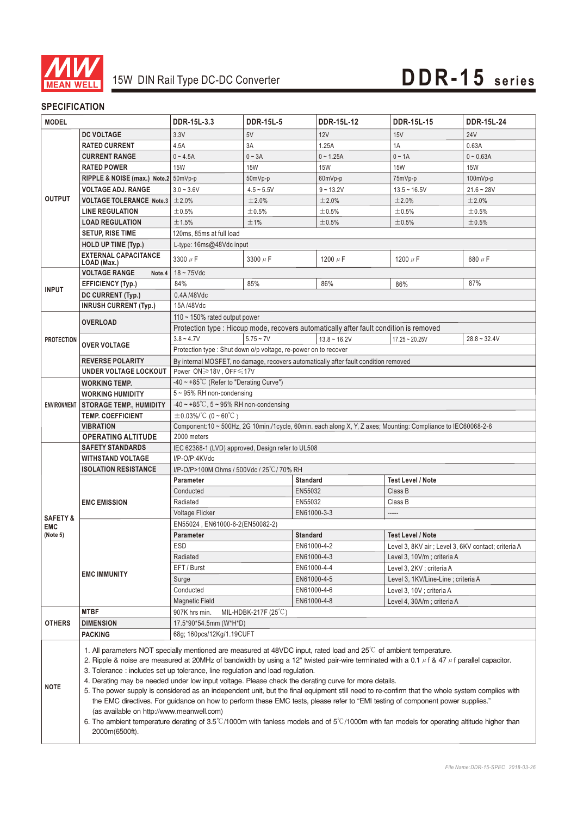

#### **SPECIFICATION**

| <b>MODEL</b>        |                                                                                                                                                                                                                                                                                                                                                                                                                                                                                                                                                                                                                                                                                                                                                                                                                                                                                                                                                                                | DDR-15L-3.3                                                                                                                  | <b>DDR-15L-5</b>   | DDR-15L-12      | <b>DDR-15L-15</b>                                   | <b>DDR-15L-24</b> |  |  |
|---------------------|--------------------------------------------------------------------------------------------------------------------------------------------------------------------------------------------------------------------------------------------------------------------------------------------------------------------------------------------------------------------------------------------------------------------------------------------------------------------------------------------------------------------------------------------------------------------------------------------------------------------------------------------------------------------------------------------------------------------------------------------------------------------------------------------------------------------------------------------------------------------------------------------------------------------------------------------------------------------------------|------------------------------------------------------------------------------------------------------------------------------|--------------------|-----------------|-----------------------------------------------------|-------------------|--|--|
|                     | <b>DC VOLTAGE</b>                                                                                                                                                                                                                                                                                                                                                                                                                                                                                                                                                                                                                                                                                                                                                                                                                                                                                                                                                              | 3.3V                                                                                                                         | 5V                 | 12V             | 15V                                                 | <b>24V</b>        |  |  |
| <b>OUTPUT</b>       | <b>RATED CURRENT</b>                                                                                                                                                                                                                                                                                                                                                                                                                                                                                                                                                                                                                                                                                                                                                                                                                                                                                                                                                           | 4.5A                                                                                                                         | 3A                 | 1.25A           | 1A                                                  | 0.63A             |  |  |
|                     | <b>CURRENT RANGE</b>                                                                                                                                                                                                                                                                                                                                                                                                                                                                                                                                                                                                                                                                                                                                                                                                                                                                                                                                                           | $0 - 4.5A$                                                                                                                   | $0 - 3A$           | $0 - 1.25A$     | $0 - 1A$                                            | $0 - 0.63A$       |  |  |
|                     | <b>RATED POWER</b>                                                                                                                                                                                                                                                                                                                                                                                                                                                                                                                                                                                                                                                                                                                                                                                                                                                                                                                                                             | <b>15W</b>                                                                                                                   | <b>15W</b>         | <b>15W</b>      | <b>15W</b>                                          | <b>15W</b>        |  |  |
|                     | RIPPLE & NOISE (max.) Note.2 50mVp-p                                                                                                                                                                                                                                                                                                                                                                                                                                                                                                                                                                                                                                                                                                                                                                                                                                                                                                                                           |                                                                                                                              | 50mVp-p            | 60mVp-p         | 75mVp-p                                             | 100mVp-p          |  |  |
|                     | <b>VOLTAGE ADJ. RANGE</b>                                                                                                                                                                                                                                                                                                                                                                                                                                                                                                                                                                                                                                                                                                                                                                                                                                                                                                                                                      | $3.0 - 3.6V$                                                                                                                 | $4.5 - 5.5V$       | $9 - 13.2V$     | $13.5 - 16.5V$                                      | $21.6 - 28V$      |  |  |
|                     | <b>VOLTAGE TOLERANCE Note.3</b>                                                                                                                                                                                                                                                                                                                                                                                                                                                                                                                                                                                                                                                                                                                                                                                                                                                                                                                                                | ±2.0%                                                                                                                        | ±2.0%              | ±2.0%           | ±2.0%                                               | ±2.0%             |  |  |
|                     | <b>LINE REGULATION</b>                                                                                                                                                                                                                                                                                                                                                                                                                                                                                                                                                                                                                                                                                                                                                                                                                                                                                                                                                         | ±0.5%                                                                                                                        | ±0.5%              | ±0.5%           | ±0.5%                                               | ±0.5%             |  |  |
|                     | <b>LOAD REGULATION</b>                                                                                                                                                                                                                                                                                                                                                                                                                                                                                                                                                                                                                                                                                                                                                                                                                                                                                                                                                         | ±1.5%                                                                                                                        | ±1%                | ±0.5%           | ±0.5%                                               | ±0.5%             |  |  |
|                     | <b>SETUP, RISE TIME</b>                                                                                                                                                                                                                                                                                                                                                                                                                                                                                                                                                                                                                                                                                                                                                                                                                                                                                                                                                        | 120ms, 85ms at full load                                                                                                     |                    |                 |                                                     |                   |  |  |
|                     | <b>HOLD UP TIME (Typ.)</b>                                                                                                                                                                                                                                                                                                                                                                                                                                                                                                                                                                                                                                                                                                                                                                                                                                                                                                                                                     | L-type: 16ms@48Vdc input                                                                                                     |                    |                 |                                                     |                   |  |  |
|                     | <b>EXTERNAL CAPACITANCE</b>                                                                                                                                                                                                                                                                                                                                                                                                                                                                                                                                                                                                                                                                                                                                                                                                                                                                                                                                                    | 3300 $\mu$ F                                                                                                                 | 3300 µF            | 1200 $\mu$ F    | 1200 $\mu$ F                                        | 680 $\mu$ F       |  |  |
|                     | LOAD (Max.)                                                                                                                                                                                                                                                                                                                                                                                                                                                                                                                                                                                                                                                                                                                                                                                                                                                                                                                                                                    |                                                                                                                              |                    |                 |                                                     |                   |  |  |
|                     | <b>VOLTAGE RANGE</b><br>Note.4                                                                                                                                                                                                                                                                                                                                                                                                                                                                                                                                                                                                                                                                                                                                                                                                                                                                                                                                                 | $18 \sim 75$ Vdc                                                                                                             |                    |                 |                                                     |                   |  |  |
| <b>INPUT</b>        | <b>EFFICIENCY (Typ.)</b>                                                                                                                                                                                                                                                                                                                                                                                                                                                                                                                                                                                                                                                                                                                                                                                                                                                                                                                                                       | 84%                                                                                                                          | 85%                | 86%             | 86%                                                 | 87%               |  |  |
|                     | DC CURRENT (Typ.)                                                                                                                                                                                                                                                                                                                                                                                                                                                                                                                                                                                                                                                                                                                                                                                                                                                                                                                                                              | 0.4A/48Vdc                                                                                                                   |                    |                 |                                                     |                   |  |  |
|                     | <b>INRUSH CURRENT (Typ.)</b>                                                                                                                                                                                                                                                                                                                                                                                                                                                                                                                                                                                                                                                                                                                                                                                                                                                                                                                                                   | 15A/48Vdc                                                                                                                    |                    |                 |                                                     |                   |  |  |
|                     | <b>OVERLOAD</b>                                                                                                                                                                                                                                                                                                                                                                                                                                                                                                                                                                                                                                                                                                                                                                                                                                                                                                                                                                | 110 $\sim$ 150% rated output power<br>Protection type : Hiccup mode, recovers automatically after fault condition is removed |                    |                 |                                                     |                   |  |  |
|                     |                                                                                                                                                                                                                                                                                                                                                                                                                                                                                                                                                                                                                                                                                                                                                                                                                                                                                                                                                                                |                                                                                                                              |                    |                 |                                                     |                   |  |  |
| <b>PROTECTION</b>   | <b>OVER VOLTAGE</b>                                                                                                                                                                                                                                                                                                                                                                                                                                                                                                                                                                                                                                                                                                                                                                                                                                                                                                                                                            | $3.8 - 4.7V$<br>Protection type: Shut down o/p voltage, re-power on to recover                                               | $5.75 - 7V$        | $13.8 - 16.2V$  | $17.25 - 20.25V$                                    | $28.8 - 32.4V$    |  |  |
|                     |                                                                                                                                                                                                                                                                                                                                                                                                                                                                                                                                                                                                                                                                                                                                                                                                                                                                                                                                                                                |                                                                                                                              |                    |                 |                                                     |                   |  |  |
|                     | <b>REVERSE POLARITY</b><br>UNDER VOLTAGE LOCKOUT                                                                                                                                                                                                                                                                                                                                                                                                                                                                                                                                                                                                                                                                                                                                                                                                                                                                                                                               | By internal MOSFET, no damage, recovers automatically after fault condition removed<br>Power ON≥18V, OFF≤17V                 |                    |                 |                                                     |                   |  |  |
|                     | <b>WORKING TEMP.</b>                                                                                                                                                                                                                                                                                                                                                                                                                                                                                                                                                                                                                                                                                                                                                                                                                                                                                                                                                           | $-40 \sim +85^{\circ}$ C (Refer to "Derating Curve")                                                                         |                    |                 |                                                     |                   |  |  |
|                     | <b>WORKING HUMIDITY</b>                                                                                                                                                                                                                                                                                                                                                                                                                                                                                                                                                                                                                                                                                                                                                                                                                                                                                                                                                        | 5~95% RH non-condensing                                                                                                      |                    |                 |                                                     |                   |  |  |
| <b>ENVIRONMENT</b>  | <b>STORAGE TEMP., HUMIDITY</b>                                                                                                                                                                                                                                                                                                                                                                                                                                                                                                                                                                                                                                                                                                                                                                                                                                                                                                                                                 | $-40 \sim +85^{\circ}$ C, 5 ~ 95% RH non-condensing                                                                          |                    |                 |                                                     |                   |  |  |
|                     | <b>TEMP. COEFFICIENT</b>                                                                                                                                                                                                                                                                                                                                                                                                                                                                                                                                                                                                                                                                                                                                                                                                                                                                                                                                                       | $\pm 0.03\%$ /°C (0 ~ 60°C)                                                                                                  |                    |                 |                                                     |                   |  |  |
|                     | <b>VIBRATION</b>                                                                                                                                                                                                                                                                                                                                                                                                                                                                                                                                                                                                                                                                                                                                                                                                                                                                                                                                                               | Component:10 ~ 500Hz, 2G 10min./1cycle, 60min. each along X, Y, Z axes; Mounting: Compliance to IEC60068-2-6                 |                    |                 |                                                     |                   |  |  |
|                     | <b>OPERATING ALTITUDE</b>                                                                                                                                                                                                                                                                                                                                                                                                                                                                                                                                                                                                                                                                                                                                                                                                                                                                                                                                                      | 2000 meters                                                                                                                  |                    |                 |                                                     |                   |  |  |
|                     | <b>SAFETY STANDARDS</b>                                                                                                                                                                                                                                                                                                                                                                                                                                                                                                                                                                                                                                                                                                                                                                                                                                                                                                                                                        | IEC 62368-1 (LVD) approved, Design refer to UL508                                                                            |                    |                 |                                                     |                   |  |  |
|                     | <b>WITHSTAND VOLTAGE</b>                                                                                                                                                                                                                                                                                                                                                                                                                                                                                                                                                                                                                                                                                                                                                                                                                                                                                                                                                       | I/P-O/P:4KVdc                                                                                                                |                    |                 |                                                     |                   |  |  |
|                     | <b>ISOLATION RESISTANCE</b>                                                                                                                                                                                                                                                                                                                                                                                                                                                                                                                                                                                                                                                                                                                                                                                                                                                                                                                                                    | I/P-O/P>100M Ohms / 500Vdc / 25°C/70% RH                                                                                     |                    |                 |                                                     |                   |  |  |
|                     |                                                                                                                                                                                                                                                                                                                                                                                                                                                                                                                                                                                                                                                                                                                                                                                                                                                                                                                                                                                | <b>Standard</b><br><b>Test Level / Note</b><br><b>Parameter</b>                                                              |                    |                 |                                                     |                   |  |  |
|                     |                                                                                                                                                                                                                                                                                                                                                                                                                                                                                                                                                                                                                                                                                                                                                                                                                                                                                                                                                                                | Conducted                                                                                                                    | EN55032            |                 | Class B                                             |                   |  |  |
|                     | <b>EMC EMISSION</b>                                                                                                                                                                                                                                                                                                                                                                                                                                                                                                                                                                                                                                                                                                                                                                                                                                                                                                                                                            | Radiated                                                                                                                     | EN55032<br>Class B |                 |                                                     |                   |  |  |
| <b>SAFETY &amp;</b> |                                                                                                                                                                                                                                                                                                                                                                                                                                                                                                                                                                                                                                                                                                                                                                                                                                                                                                                                                                                | Voltage Flicker                                                                                                              |                    | EN61000-3-3     |                                                     |                   |  |  |
| <b>EMC</b>          |                                                                                                                                                                                                                                                                                                                                                                                                                                                                                                                                                                                                                                                                                                                                                                                                                                                                                                                                                                                | EN55024, EN61000-6-2(EN50082-2)                                                                                              |                    |                 |                                                     |                   |  |  |
| (Note 5)            | <b>EMC IMMUNITY</b>                                                                                                                                                                                                                                                                                                                                                                                                                                                                                                                                                                                                                                                                                                                                                                                                                                                                                                                                                            | Parameter                                                                                                                    |                    | <b>Standard</b> | <b>Test Level / Note</b>                            |                   |  |  |
|                     |                                                                                                                                                                                                                                                                                                                                                                                                                                                                                                                                                                                                                                                                                                                                                                                                                                                                                                                                                                                | ESD                                                                                                                          |                    | EN61000-4-2     | Level 3, 8KV air ; Level 3, 6KV contact; criteria A |                   |  |  |
|                     |                                                                                                                                                                                                                                                                                                                                                                                                                                                                                                                                                                                                                                                                                                                                                                                                                                                                                                                                                                                | Radiated                                                                                                                     |                    | EN61000-4-3     | Level 3, 10V/m; criteria A                          |                   |  |  |
|                     |                                                                                                                                                                                                                                                                                                                                                                                                                                                                                                                                                                                                                                                                                                                                                                                                                                                                                                                                                                                | EFT / Burst                                                                                                                  |                    | EN61000-4-4     | Level 3, 2KV ; criteria A                           |                   |  |  |
|                     |                                                                                                                                                                                                                                                                                                                                                                                                                                                                                                                                                                                                                                                                                                                                                                                                                                                                                                                                                                                | Surge                                                                                                                        |                    | EN61000-4-5     | Level 3, 1KV/Line-Line; criteria A                  |                   |  |  |
|                     |                                                                                                                                                                                                                                                                                                                                                                                                                                                                                                                                                                                                                                                                                                                                                                                                                                                                                                                                                                                | Conducted                                                                                                                    |                    | EN61000-4-6     | Level 3, 10V; criteria A                            |                   |  |  |
|                     |                                                                                                                                                                                                                                                                                                                                                                                                                                                                                                                                                                                                                                                                                                                                                                                                                                                                                                                                                                                | <b>Magnetic Field</b><br>EN61000-4-8<br>Level 4, 30A/m; criteria A                                                           |                    |                 |                                                     |                   |  |  |
|                     | <b>MTBF</b>                                                                                                                                                                                                                                                                                                                                                                                                                                                                                                                                                                                                                                                                                                                                                                                                                                                                                                                                                                    | 907K hrs min.<br>MIL-HDBK-217F (25°C)                                                                                        |                    |                 |                                                     |                   |  |  |
| <b>OTHERS</b>       | <b>DIMENSION</b>                                                                                                                                                                                                                                                                                                                                                                                                                                                                                                                                                                                                                                                                                                                                                                                                                                                                                                                                                               | 17.5*90*54.5mm (W*H*D)                                                                                                       |                    |                 |                                                     |                   |  |  |
|                     | <b>PACKING</b>                                                                                                                                                                                                                                                                                                                                                                                                                                                                                                                                                                                                                                                                                                                                                                                                                                                                                                                                                                 | 68g; 160pcs/12Kg/1.19CUFT                                                                                                    |                    |                 |                                                     |                   |  |  |
| <b>NOTE</b>         | 1. All parameters NOT specially mentioned are measured at 48VDC input, rated load and $25^{\circ}$ C of ambient temperature.<br>2. Ripple & noise are measured at 20MHz of bandwidth by using a 12" twisted pair-wire terminated with a 0.1 $\mu$ f & 47 $\mu$ f parallel capacitor.<br>3. Tolerance: includes set up tolerance, line regulation and load regulation.<br>4. Derating may be needed under low input voltage. Please check the derating curve for more details.<br>5. The power supply is considered as an independent unit, but the final equipment still need to re-confirm that the whole system complies with<br>the EMC directives. For guidance on how to perform these EMC tests, please refer to "EMI testing of component power supplies."<br>(as available on http://www.meanwell.com)<br>6. The ambient temperature derating of 3.5°C/1000m with fanless models and of 5°C/1000m with fan models for operating altitude higher than<br>2000m(6500ft). |                                                                                                                              |                    |                 |                                                     |                   |  |  |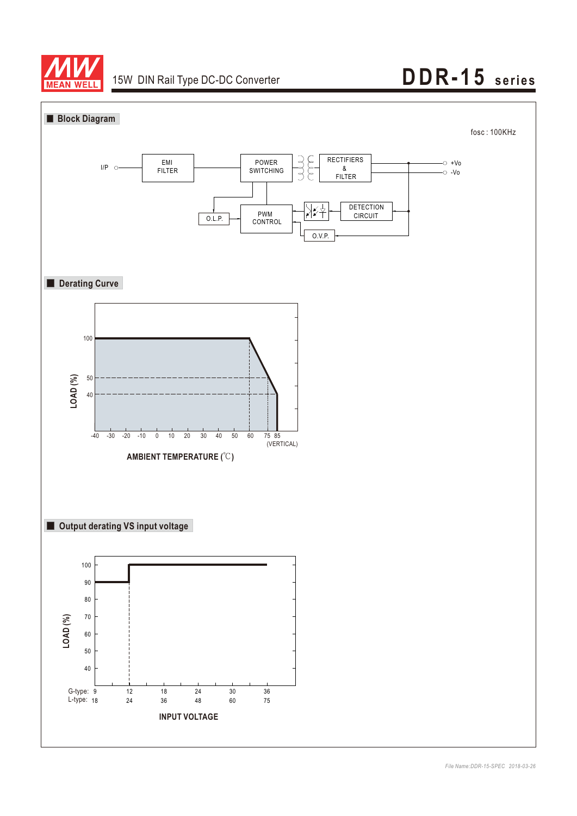